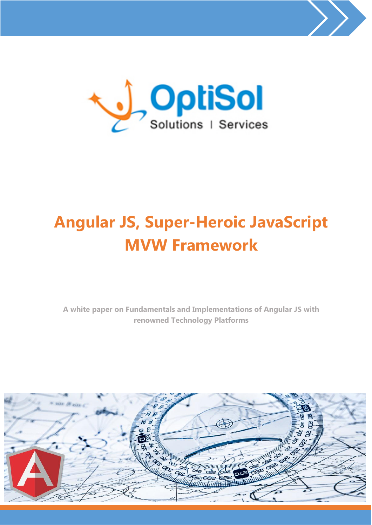



# **Angular JS, Super-Heroic JavaScript MVW Framework**

**A white paper on Fundamentals and Implementations of Angular JS with renowned Technology Platforms**

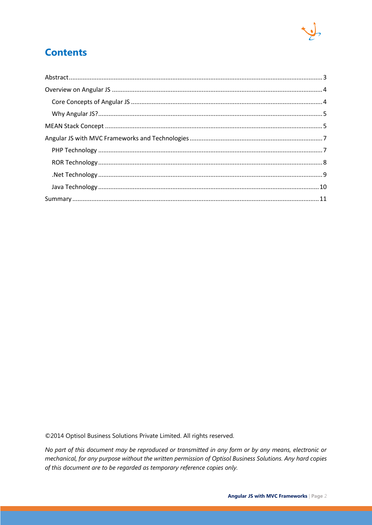

#### **Contents**

©2014 Optisol Business Solutions Private Limited. All rights reserved.

No part of this document may be reproduced or transmitted in any form or by any means, electronic or mechanical, for any purpose without the written permission of Optisol Business Solutions. Any hard copies of this document are to be regarded as temporary reference copies only.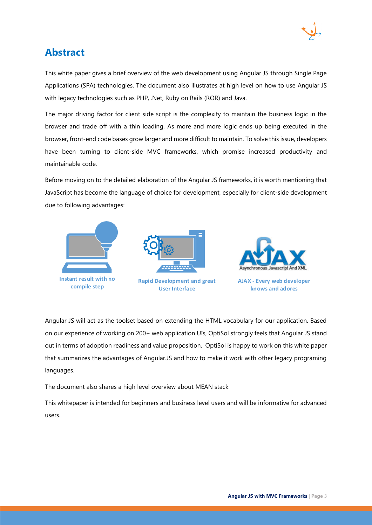

#### <span id="page-2-0"></span>**Abstract**

This white paper gives a brief overview of the web development using Angular JS through Single Page Applications (SPA) technologies. The document also illustrates at high level on how to use Angular JS with legacy technologies such as PHP, .Net, Ruby on Rails (ROR) and Java.

The major driving factor for client side script is the complexity to maintain the business logic in the browser and trade off with a thin loading. As more and more logic ends up being executed in the browser, front-end code bases grow larger and more difficult to maintain. To solve this issue, developers have been turning to client-side MVC frameworks, which promise increased productivity and maintainable code.

Before moving on to the detailed elaboration of the Angular JS frameworks, it is worth mentioning that JavaScript has become the language of choice for development, especially for client-side development due to following advantages:



Angular JS will act as the toolset based on extending the HTML vocabulary for our application. Based on our experience of working on 200+ web application UIs, OptiSol strongly feels that Angular JS stand out in terms of adoption readiness and value proposition. OptiSol is happy to work on this white paper that summarizes the advantages of Angular.JS and how to make it work with other legacy programing languages.

The document also shares a high level overview about MEAN stack

This whitepaper is intended for beginners and business level users and will be informative for advanced users.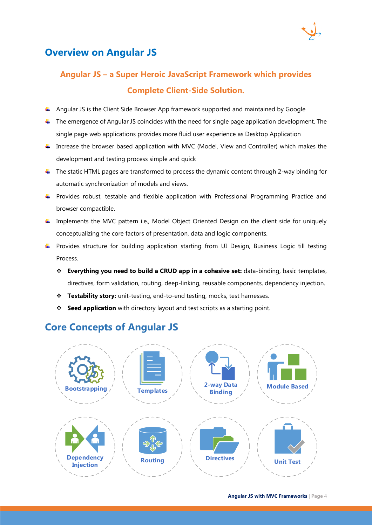

#### <span id="page-3-0"></span>**Overview on Angular JS**

### **Angular JS – a Super Heroic JavaScript Framework which provides Complete Client-Side Solution.**

- Angular JS is the Client Side Browser App framework supported and maintained by Google
- $\ddot{\phantom{1}}$  The emergence of Angular JS coincides with the need for single page application development. The single page web applications provides more fluid user experience as Desktop Application
- $\ddot{+}$  Increase the browser based application with MVC (Model, View and Controller) which makes the development and testing process simple and quick
- $\ddot{\phantom{1}}$  The static HTML pages are transformed to process the dynamic content through 2-way binding for automatic synchronization of models and views.
- Frovides robust, testable and flexible application with Professional Programming Practice and browser compactible.
- Implements the MVC pattern i.e., Model Object Oriented Design on the client side for uniquely conceptualizing the core factors of presentation, data and logic components.
- Provides structure for building application starting from UI Design, Business Logic till testing Process.
	- **Everything you need to build a CRUD app in a cohesive set:** data-binding, basic templates, directives, form validation, routing, deep-linking, reusable components, dependency injection.
	- **Testability story:** unit-testing, end-to-end testing, mocks, test harnesses.
	- **Seed application** with directory layout and test scripts as a starting point.

#### <span id="page-3-1"></span>**Core Concepts of Angular JS**

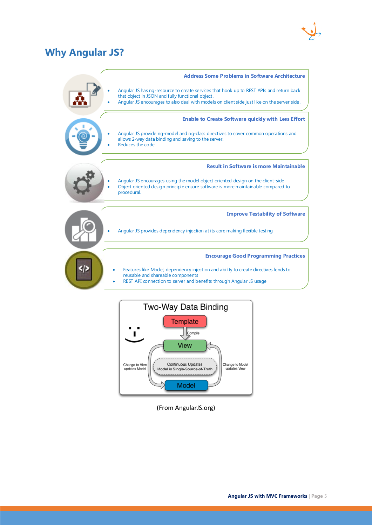#### <span id="page-4-0"></span>**Why Angular JS?**



<span id="page-4-1"></span>**Template** Compile View Continuous Updates Change to View Change to Model undates Model Model is Single-Source-of-Truth updates View **Model** 

(From AngularJS.org)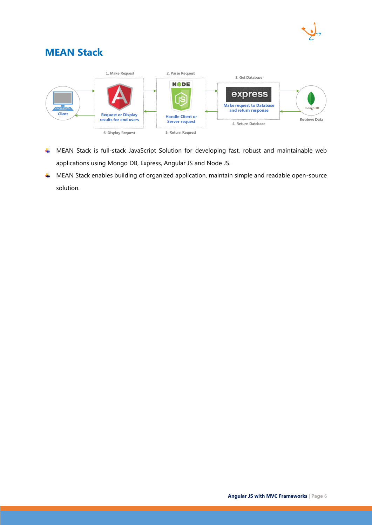

#### **MEAN Stack**



- MEAN Stack is full-stack JavaScript Solution for developing fast, robust and maintainable web applications using Mongo DB, Express, Angular JS and Node JS.
- <span id="page-5-0"></span>MEAN Stack enables building of organized application, maintain simple and readable open-source solution.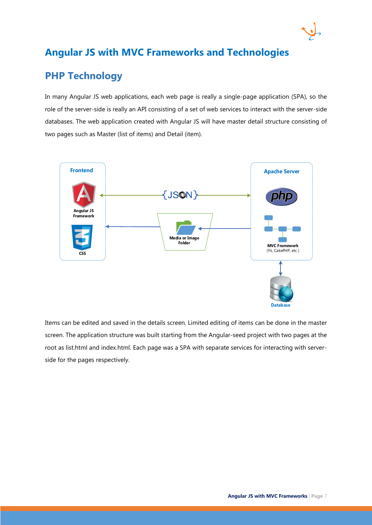#### **Angular JS with MVC Frameworks and Technologies**

#### <span id="page-6-0"></span>**PHP Technology**

In many Angular JS web applications, each web page is really a single-page application (SPA), so the role of the server-side is really an API consisting of a set of web services to interact with the server-side databases. The web application created with Angular JS will have master detail structure consisting of two pages such as Master (list of items) and Detail (item).



Items can be edited and saved in the details screen. Limited editing of items can be done in the master screen. The application structure was built starting from the Angular-seed project with two pages at the root as list.html and index.html. Each page was a SPA with separate services for interacting with serverside for the pages respectively.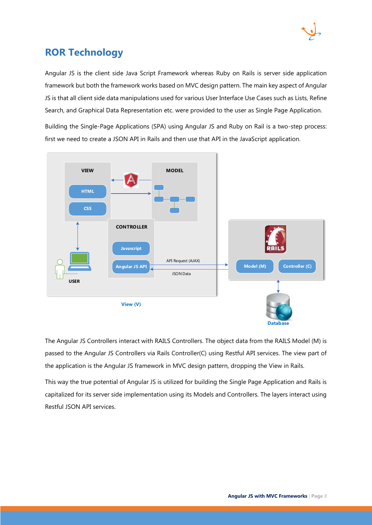

#### <span id="page-7-0"></span>**ROR Technology**

Angular JS is the client side Java Script Framework whereas Ruby on Rails is server side application framework but both the framework works based on MVC design pattern. The main key aspect of Angular JS is that all client side data manipulations used for various User Interface Use Cases such as Lists, Refine Search, and Graphical Data Representation etc. were provided to the user as Single Page Application.

Building the Single-Page Applications (SPA) using Angular JS and Ruby on Rail is a two-step process: first we need to create a JSON API in Rails and then use that API in the JavaScript application.



The Angular JS Controllers interact with RAILS Controllers. The object data from the RAILS Model (M) is passed to the Angular JS Controllers via Rails Controller(C) using Restful API services. The view part of the application is the Angular JS framework in MVC design pattern, dropping the View in Rails.

This way the true potential of Angular JS is utilized for building the Single Page Application and Rails is capitalized for its server side implementation using its Models and Controllers. The layers interact using Restful JSON API services.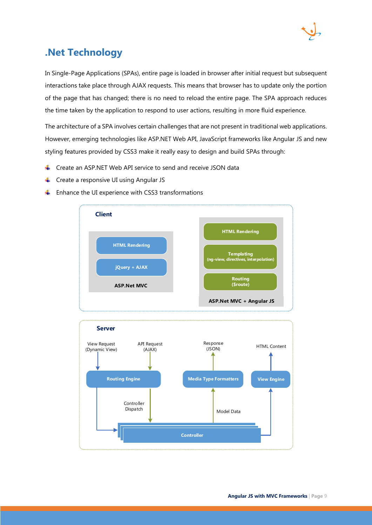

#### <span id="page-8-0"></span>**.Net Technology**

In Single-Page Applications (SPAs), entire page is loaded in browser after initial request but subsequent interactions take place through AJAX requests. This means that browser has to update only the portion of the page that has changed; there is no need to reload the entire page. The SPA approach reduces the time taken by the application to respond to user actions, resulting in more fluid experience.

The architecture of a SPA involves certain challenges that are not present in traditional web applications. However, emerging technologies like ASP.NET Web API, JavaScript frameworks like Angular JS and new styling features provided by CSS3 make it really easy to design and build SPAs through:

- Create an ASP.NET Web API service to send and receive JSON data ÷
- 4 Create a responsive UI using Angular JS
- Enhance the UI experience with CSS3 transformations ٠



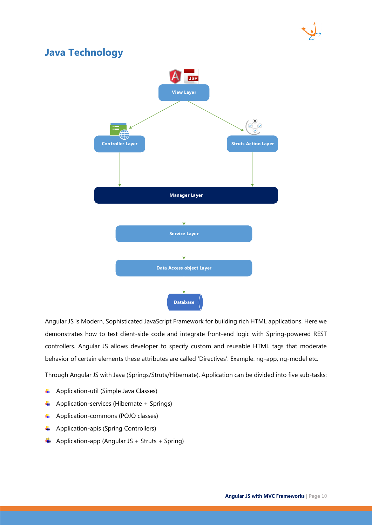

#### <span id="page-9-0"></span>**Java Technology**



Angular JS is Modern, Sophisticated JavaScript Framework for building rich HTML applications. Here we demonstrates how to test client-side code and integrate front-end logic with Spring-powered REST controllers. Angular JS allows developer to specify custom and reusable HTML tags that moderate behavior of certain elements these attributes are called 'Directives'. Example: ng-app, ng-model etc.

Through Angular JS with Java (Springs/Struts/Hibernate), Application can be divided into five sub-tasks:

- $\overline{\phantom{a}}$  Application-util (Simple Java Classes)
- $\overline{\text{4}}$  Application-services (Hibernate + Springs)
- 4 Application-commons (POJO classes)
- $\downarrow$  Application-apis (Spring Controllers)
- $\bigstar$  Application-app (Angular JS + Struts + Spring)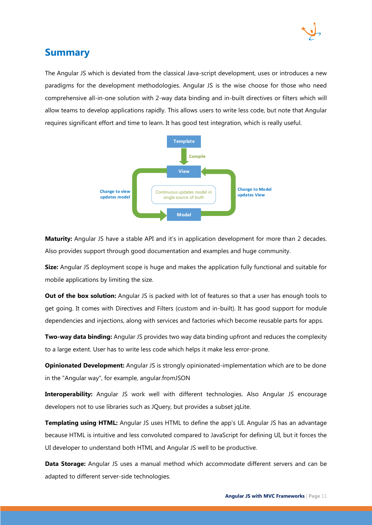

#### <span id="page-10-0"></span>**Summary**

The Angular JS which is deviated from the classical Java-script development, uses or introduces a new paradigms for the development methodologies. Angular JS is the wise choose for those who need comprehensive all-in-one solution with 2-way data binding and in-built directives or filters which will allow teams to develop applications rapidly. This allows users to write less code, but note that Angular requires significant effort and time to learn. It has good test integration, which is really useful.



**Maturity:** Angular JS have a stable API and it's in application development for more than 2 decades. Also provides support through good documentation and examples and huge community.

**Size:** Angular JS deployment scope is huge and makes the application fully functional and suitable for mobile applications by limiting the size.

**Out of the box solution:** Angular JS is packed with lot of features so that a user has enough tools to get going. It comes with Directives and Filters (custom and in-built). It has good support for module dependencies and injections, along with services and factories which become reusable parts for apps.

**Two-way data binding:** Angular JS provides two way data binding upfront and reduces the complexity to a large extent. User has to write less code which helps it make less error-prone.

**Opinionated Development:** Angular JS is strongly opinionated-implementation which are to be done in the "Angular way", for example, angular.fromJSON

**Interoperability:** Angular JS work well with different technologies. Also Angular JS encourage developers not to use libraries such as JQuery, but provides a subset jqLite.

**Templating using HTML:** Angular JS uses HTML to define the app's UI. Angular JS has an advantage because HTML is intuitive and less convoluted compared to JavaScript for defining UI, but it forces the UI developer to understand both HTML and Angular JS well to be productive.

**Data Storage:** Angular JS uses a manual method which accommodate different servers and can be adapted to different server-side technologies.